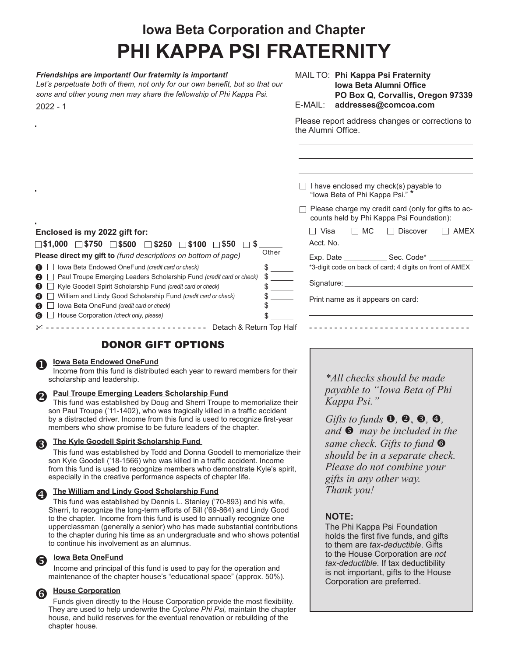# **Iowa Beta Corporation and Chapter PHI KAPPA PSI FRATERNITY**

#### *Friendships are important! Our fraternity is important!*

Let's perpetuate both of them, not only for our own benefit, but so that our *sons and other young men may share the fellowship of Phi Kappa Psi.* 2022 - 1

MAIL TO: **Phi Kappa Psi Fraternity Iowa Beta Alumni Office PO Box Q, Corvallis, Oregon 97339** E-MAIL: **addresses@comcoa.com**

Please report address changes or corrections to the Alumni Office.

 $\Box$  I have enclosed my check(s) payable to "Iowa Beta of Phi Kappa Psi." \*

 $\Box$  Please charge my credit card (only for gifts to accounts held by Phi Kappa Psi Foundation):

| $\Box$ Visa | $\Box$ MC $\Box$ Discover | $\Box$ AMEX |
|-------------|---------------------------|-------------|
| Acct. No.   |                           |             |

Exp. Date \_\_\_\_\_\_\_\_\_\_\_\_\_\_\_ Sec. Code\* \_\_ \*3-digit code on back of card; 4 digits on front of AMEX

- - - - - - - - - - - - - - - - - - - - - - - - - - - - - - - -

Signature:

Print name as it appears on card:

### **Enclosed is my 2022 gift for:**

| $\Box$ \$1,000 $\Box$ \$750 $\Box$ \$500 $\Box$ \$250 $\Box$ \$100 $\Box$ \$50 |                          |
|--------------------------------------------------------------------------------|--------------------------|
| Please direct my gift to (fund descriptions on bottom of page)                 | Other                    |
| Iowa Beta Endowed OneFund (credit card or check)<br>$\mathbf{O}$ $\Box$        | S                        |
| <b>2</b> Paul Troupe Emerging Leaders Scholarship Fund (credit card or check)  | S                        |
| 6 Kyle Goodell Spirit Scholarship Fund (credit card or check)                  |                          |
| <b>△</b> ■ William and Lindy Good Scholarship Fund (credit card or check)      |                          |
| Iowa Beta OneFund (credit card or check)<br>$\bullet$ $\vdash$                 |                          |
| <b>6</b> House Corporation (check only, please)                                |                          |
|                                                                                | Detach & Return Top Half |

### DONOR GIFT OPTIONS

#### **Iowa Beta Endowed OneFund**

Income from this fund is distributed each year to reward members for their scholarship and leadership.

## **Paul Troupe Emerging Leaders Scholarship Fund**<br>This fund was established by Doug and Sherri Troupe

This fund was established by Doug and Sherri Troupe to memorialize their son Paul Troupe ('11-1402), who was tragically killed in a traffic accident by a distracted driver. Income from this fund is used to recognize first-year members who show promise to be future leaders of the chapter.

## **19 The Kyle Goodell Spirit Scholarship Fund**<br>This fund was established by Todd and Donne

This fund was established by Todd and Donna Goodell to memorialize their son Kyle Goodell ('18-1566) who was killed in a traffic accident. Income from this fund is used to recognize members who demonstrate Kyle's spirit, especially in the creative performance aspects of chapter life.

#### **The William and Lindy Good Scholarship Fund**

This fund was established by Dennis L. Stanley ('70-893) and his wife, Sherri, to recognize the long-term efforts of Bill ('69-864) and Lindy Good to the chapter. Income from this fund is used to annually recognize one upperclassman (generally a senior) who has made substantial contributions to the chapter during his time as an undergraduate and who shows potential to continue his involvement as an alumnus.



Income and principal of this fund is used to pay for the operation and maintenance of the chapter house's "educational space" (approx. 50%).

## **6** House Corporation

Funds given directly to the House Corporation provide the most flexibility. They are used to help underwrite the *Cyclone Phi Psi,* maintain the chapter house, and build reserves for the eventual renovation or rebuilding of the chapter house.

*\*All checks should be made payable to "Iowa Beta of Phi Kappa Psi."* 

*Gifts to funds O*, *O*, *O*, *and*  $\bullet$  *may be included in the same check. Gifts to fund*  $\bullet$ *should be in a separate check. Please do not combine your gifts in any other way. Thank you!*

### **NOTE:**

The Phi Kappa Psi Foundation holds the first five funds, and gifts to them are *tax-deductible*. Gifts to the House Corporation are *not tax-deductible*. If tax deductibility is not important, gifts to the House Corporation are preferred.



 $\bf \Theta$ 

 $\bf 0$